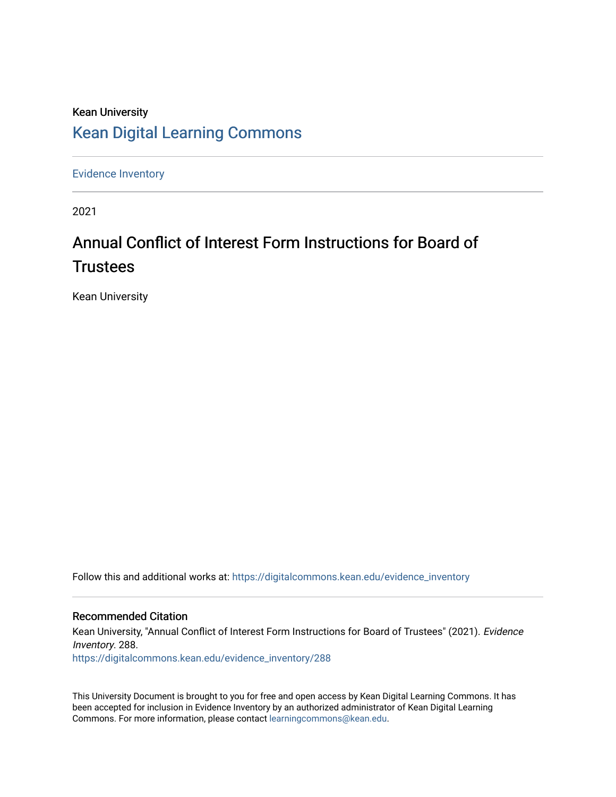# Kean University [Kean Digital Learning Commons](https://digitalcommons.kean.edu/)

[Evidence Inventory](https://digitalcommons.kean.edu/evidence_inventory) 

2021

# Annual Conflict of Interest Form Instructions for Board of **Trustees**

Kean University

Follow this and additional works at: [https://digitalcommons.kean.edu/evidence\\_inventory](https://digitalcommons.kean.edu/evidence_inventory?utm_source=digitalcommons.kean.edu%2Fevidence_inventory%2F288&utm_medium=PDF&utm_campaign=PDFCoverPages)

#### Recommended Citation

Kean University, "Annual Conflict of Interest Form Instructions for Board of Trustees" (2021). Evidence Inventory. 288. [https://digitalcommons.kean.edu/evidence\\_inventory/288](https://digitalcommons.kean.edu/evidence_inventory/288?utm_source=digitalcommons.kean.edu%2Fevidence_inventory%2F288&utm_medium=PDF&utm_campaign=PDFCoverPages)

This University Document is brought to you for free and open access by Kean Digital Learning Commons. It has been accepted for inclusion in Evidence Inventory by an authorized administrator of Kean Digital Learning Commons. For more information, please contact [learningcommons@kean.edu.](mailto:learningcommons@kean.edu)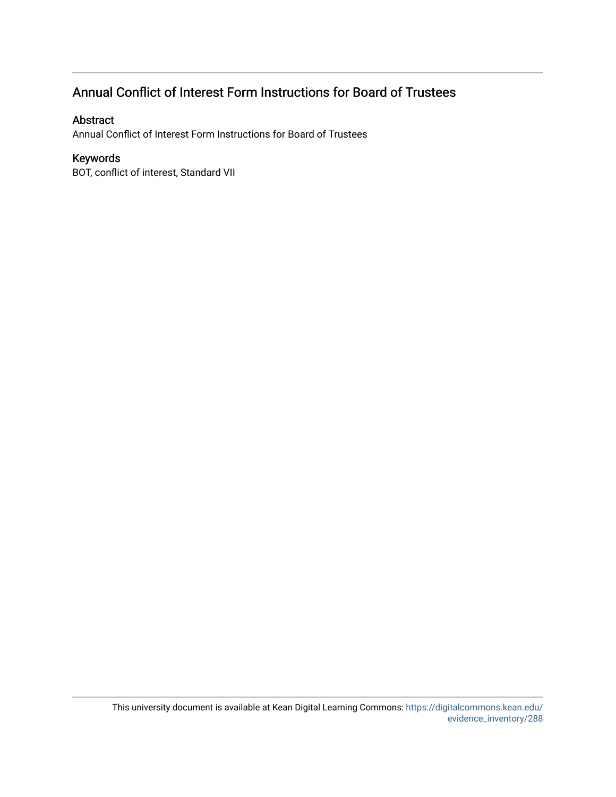# Annual Conflict of Interest Form Instructions for Board of Trustees

#### Abstract

Annual Conflict of Interest Form Instructions for Board of Trustees

#### Keywords

BOT, conflict of interest, Standard VII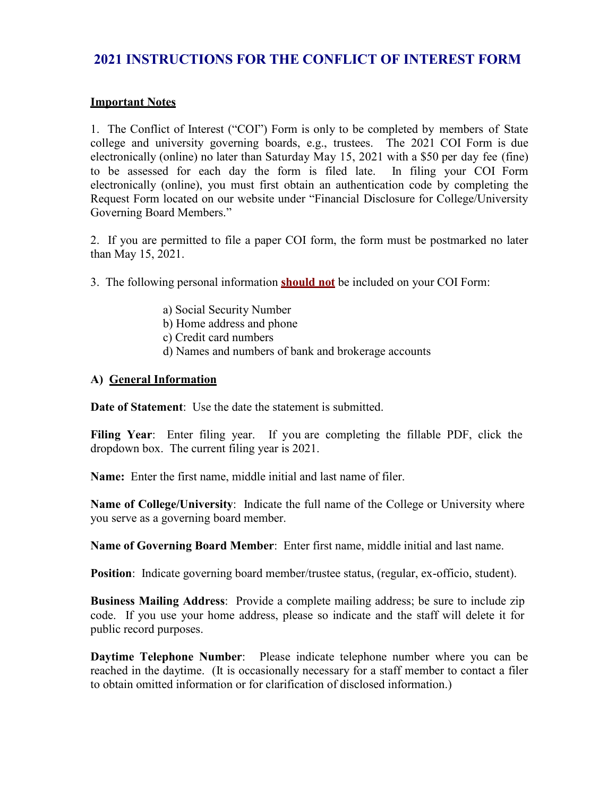## **2021 INSTRUCTIONS FOR THE CONFLICT OF INTEREST FORM**

#### **Important Notes**

1. The Conflict of Interest ("COI") Form is only to be completed by members of State college and university governing boards, e.g., trustees. The 2021 COI Form is due electronically (online) no later than Saturday May 15, 2021 with a \$50 per day fee (fine) to be assessed for each day the form is filed late. In filing your COI Form electronically (online), you must first obtain an authentication code by completing the Request Form located on our website under "Financial Disclosure for College/University Governing Board Members."

2. If you are permitted to file a paper COI form, the form must be postmarked no later than May 15, 2021.

3. The following personal information **should not** be included on your COI Form:

- a) Social Security Number
- b) Home address and phone
- c) Credit card numbers
- d) Names and numbers of bank and brokerage accounts

#### **A) General Information**

**Date of Statement**: Use the date the statement is submitted.

**Filing Year**: Enter filing year. If you are completing the fillable PDF, click the dropdown box. The current filing year is 2021.

**Name:** Enter the first name, middle initial and last name of filer.

**Name of College/University**: Indicate the full name of the College or University where you serve as a governing board member.

**Name of Governing Board Member**: Enter first name, middle initial and last name.

**Position**: Indicate governing board member/trustee status, (regular, ex-officio, student).

**Business Mailing Address**: Provide a complete mailing address; be sure to include zip code. If you use your home address, please so indicate and the staff will delete it for public record purposes.

**Daytime Telephone Number**: Please indicate telephone number where you can be reached in the daytime. (It is occasionally necessary for a staff member to contact a filer to obtain omitted information or for clarification of disclosed information.)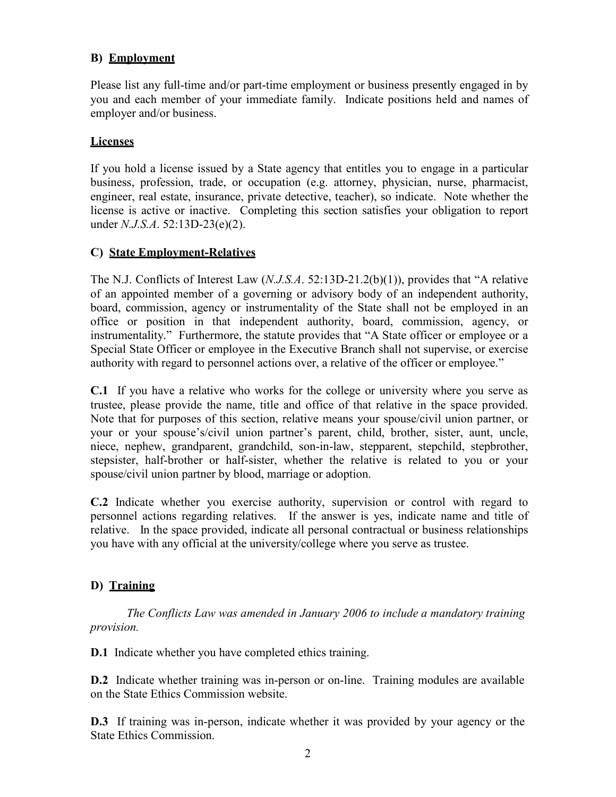#### **B) Employment**

Please list any full-time and/or part-time employment or business presently engaged in by you and each member of your immediate family. Indicate positions held and names of employer and/or business.

#### **Licenses**

If you hold a license issued by a State agency that entitles you to engage in a particular business, profession, trade, or occupation (e.g. attorney, physician, nurse, pharmacist, engineer, real estate, insurance, private detective, teacher), so indicate. Note whether the license is active or inactive. Completing this section satisfies your obligation to report under *N.J.S.A*. 52:13D-23(e)(2).

#### **C) State Employment-Relatives**

The N.J. Conflicts of Interest Law (*N.J.S.A*. 52:13D-21.2(b)(1)), provides that "A relative of an appointed member of a governing or advisory body of an independent authority, board, commission, agency or instrumentality of the State shall not be employed in an office or position in that independent authority, board, commission, agency, or instrumentality." Furthermore, the statute provides that "A State officer or employee or a Special State Officer or employee in the Executive Branch shall not supervise, or exercise authority with regard to personnel actions over, a relative of the officer or employee."

**C.1** If you have a relative who works for the college or university where you serve as trustee, please provide the name, title and office of that relative in the space provided. Note that for purposes of this section, relative means your spouse/civil union partner, or your or your spouse's/civil union partner's parent, child, brother, sister, aunt, uncle, niece, nephew, grandparent, grandchild, son-in-law, stepparent, stepchild, stepbrother, stepsister, half-brother or half-sister, whether the relative is related to you or your spouse/civil union partner by blood, marriage or adoption.

**C.2** Indicate whether you exercise authority, supervision or control with regard to personnel actions regarding relatives. If the answer is yes, indicate name and title of relative. In the space provided, indicate all personal contractual or business relationships you have with any official at the university/college where you serve as trustee.

#### **D) Training**

*The Conflicts Law was amended in January 2006 to include a mandatory training provision.*

**D.1** Indicate whether you have completed ethics training.

**D.2** Indicate whether training was in-person or on-line. Training modules are available on the State Ethics Commission website.

**D.3** If training was in-person, indicate whether it was provided by your agency or the State Ethics Commission.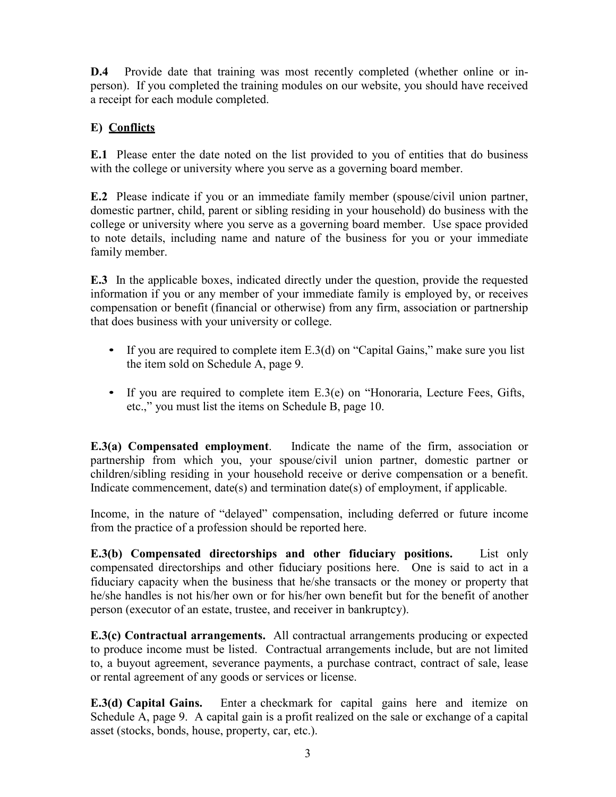**D.4** Provide date that training was most recently completed (whether online or inperson). If you completed the training modules on our website, you should have received a receipt for each module completed.

## **E) Conflicts**

**E.1** Please enter the date noted on the list provided to you of entities that do business with the college or university where you serve as a governing board member.

**E.2** Please indicate if you or an immediate family member (spouse/civil union partner, domestic partner, child, parent or sibling residing in your household) do business with the college or university where you serve as a governing board member. Use space provided to note details, including name and nature of the business for you or your immediate family member.

**E.3** In the applicable boxes, indicated directly under the question, provide the requested information if you or any member of your immediate family is employed by, or receives compensation or benefit (financial or otherwise) from any firm, association or partnership that does business with your university or college.

- If you are required to complete item E.3(d) on "Capital Gains," make sure you list the item sold on Schedule A, page 9.
- If you are required to complete item E.3(e) on "Honoraria, Lecture Fees, Gifts, etc.," you must list the items on Schedule B, page 10.

**E.3(a) Compensated employment**. Indicate the name of the firm, association or partnership from which you, your spouse/civil union partner, domestic partner or children/sibling residing in your household receive or derive compensation or a benefit. Indicate commencement, date(s) and termination date(s) of employment, if applicable.

Income, in the nature of "delayed" compensation, including deferred or future income from the practice of a profession should be reported here.

**E.3(b) Compensated directorships and other fiduciary positions.** List only compensated directorships and other fiduciary positions here. One is said to act in a fiduciary capacity when the business that he/she transacts or the money or property that he/she handles is not his/her own or for his/her own benefit but for the benefit of another person (executor of an estate, trustee, and receiver in bankruptcy).

**E.3(c) Contractual arrangements.** All contractual arrangements producing or expected to produce income must be listed. Contractual arrangements include, but are not limited to, a buyout agreement, severance payments, a purchase contract, contract of sale, lease or rental agreement of any goods or services or license.

**E.3(d) Capital Gains.** Enter a checkmark for capital gains here and itemize on Schedule A, page 9. A capital gain is a profit realized on the sale or exchange of a capital asset (stocks, bonds, house, property, car, etc.).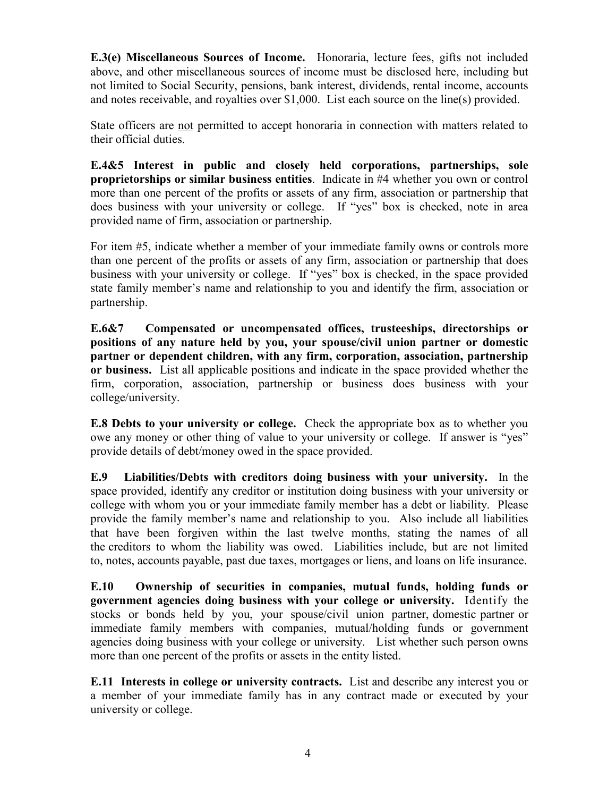**E.3(e) Miscellaneous Sources of Income.** Honoraria, lecture fees, gifts not included above, and other miscellaneous sources of income must be disclosed here, including but not limited to Social Security, pensions, bank interest, dividends, rental income, accounts and notes receivable, and royalties over \$1,000. List each source on the line(s) provided.

State officers are not permitted to accept honoraria in connection with matters related to their official duties.

**E.4&5 Interest in public and closely held corporations, partnerships, sole proprietorships or similar business entities**. Indicate in #4 whether you own or control more than one percent of the profits or assets of any firm, association or partnership that does business with your university or college. If "yes" box is checked, note in area provided name of firm, association or partnership.

For item #5, indicate whether a member of your immediate family owns or controls more than one percent of the profits or assets of any firm, association or partnership that does business with your university or college. If "yes" box is checked, in the space provided state family member's name and relationship to you and identify the firm, association or partnership.

**E.6&7 Compensated or uncompensated offices, trusteeships, directorships or positions of any nature held by you, your spouse/civil union partner or domestic partner or dependent children, with any firm, corporation, association, partnership or business.** List all applicable positions and indicate in the space provided whether the firm, corporation, association, partnership or business does business with your college/university.

**E.8 Debts to your university or college.** Check the appropriate box as to whether you owe any money or other thing of value to your university or college. If answer is "yes" provide details of debt/money owed in the space provided.

**E.9 Liabilities/Debts with creditors doing business with your university.** In the space provided, identify any creditor or institution doing business with your university or college with whom you or your immediate family member has a debt or liability. Please provide the family member's name and relationship to you. Also include all liabilities that have been forgiven within the last twelve months, stating the names of all the creditors to whom the liability was owed. Liabilities include, but are not limited to, notes, accounts payable, past due taxes, mortgages or liens, and loans on life insurance.

**E.10 Ownership of securities in companies, mutual funds, holding funds or government agencies doing business with your college or university.** Identify the stocks or bonds held by you, your spouse/civil union partner, domestic partner or immediate family members with companies, mutual/holding funds or government agencies doing business with your college or university. List whether such person owns more than one percent of the profits or assets in the entity listed.

**E.11 Interests in college or university contracts.** List and describe any interest you or a member of your immediate family has in any contract made or executed by your university or college.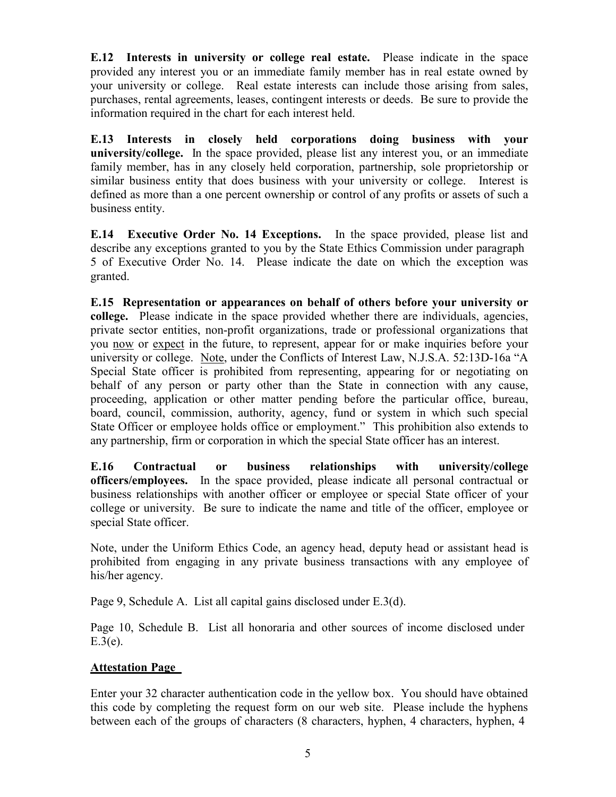**E.12 Interests in university or college real estate.** Please indicate in the space provided any interest you or an immediate family member has in real estate owned by your university or college. Real estate interests can include those arising from sales, purchases, rental agreements, leases, contingent interests or deeds. Be sure to provide the information required in the chart for each interest held.

**E.13 Interests in closely held corporations doing business with your university/college.** In the space provided, please list any interest you, or an immediate family member, has in any closely held corporation, partnership, sole proprietorship or similar business entity that does business with your university or college. Interest is defined as more than a one percent ownership or control of any profits or assets of such a business entity.

**E.14 Executive Order No. 14 Exceptions.** In the space provided, please list and describe any exceptions granted to you by the State Ethics Commission under paragraph 5 of Executive Order No. 14. Please indicate the date on which the exception was granted.

**E.15 Representation or appearances on behalf of others before your university or college.** Please indicate in the space provided whether there are individuals, agencies, private sector entities, non-profit organizations, trade or professional organizations that you now or expect in the future, to represent, appear for or make inquiries before your university or college. Note, under the Conflicts of Interest Law, N.J.S.A. 52:13D-16a "A Special State officer is prohibited from representing, appearing for or negotiating on behalf of any person or party other than the State in connection with any cause, proceeding, application or other matter pending before the particular office, bureau, board, council, commission, authority, agency, fund or system in which such special State Officer or employee holds office or employment." This prohibition also extends to any partnership, firm or corporation in which the special State officer has an interest.

**E.16 Contractual or business relationships with university/college officers/employees.** In the space provided, please indicate all personal contractual or business relationships with another officer or employee or special State officer of your college or university. Be sure to indicate the name and title of the officer, employee or special State officer.

Note, under the Uniform Ethics Code, an agency head, deputy head or assistant head is prohibited from engaging in any private business transactions with any employee of his/her agency.

Page 9, Schedule A. List all capital gains disclosed under E.3(d).

Page 10, Schedule B. List all honoraria and other sources of income disclosed under  $E.3(e)$ .

#### **Attestation Page**

Enter your 32 character authentication code in the yellow box. You should have obtained this code by completing the request form on our web site. Please include the hyphens between each of the groups of characters (8 characters, hyphen, 4 characters, hyphen, 4